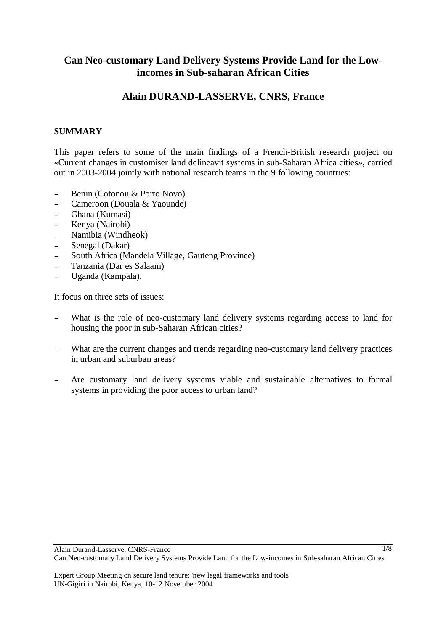# **Can Neo-customary Land Delivery Systems Provide Land for the Lowincomes in Sub-saharan African Cities**

# **Alain DURAND-LASSERVE, CNRS, France**

# **SUMMARY**

This paper refers to some of the main findings of a French-British research project on «Current changes in customiser land delineavit systems in sub-Saharan Africa cities», carried out in 2003-2004 jointly with national research teams in the 9 following countries:

- <sup>−</sup> Benin (Cotonou & Porto Novo)
- <sup>−</sup> Cameroon (Douala & Yaounde)
- <sup>−</sup> Ghana (Kumasi)
- <sup>−</sup> Kenya (Nairobi)
- <sup>−</sup> Namibia (Windheok)
- <sup>−</sup> Senegal (Dakar)
- <sup>−</sup> South Africa (Mandela Village, Gauteng Province)
- <sup>−</sup> Tanzania (Dar es Salaam)
- <sup>−</sup> Uganda (Kampala).

It focus on three sets of issues:

- What is the role of neo-customary land delivery systems regarding access to land for housing the poor in sub-Saharan African cities?
- What are the current changes and trends regarding neo-customary land delivery practices in urban and suburban areas?
- Are customary land delivery systems viable and sustainable alternatives to formal systems in providing the poor access to urban land?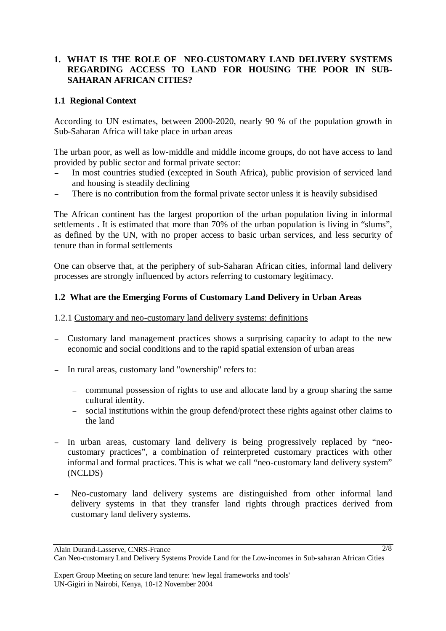# **1. WHAT IS THE ROLE OF NEO-CUSTOMARY LAND DELIVERY SYSTEMS REGARDING ACCESS TO LAND FOR HOUSING THE POOR IN SUB-SAHARAN AFRICAN CITIES?**

## **1.1 Regional Context**

According to UN estimates, between 2000-2020, nearly 90 % of the population growth in Sub-Saharan Africa will take place in urban areas

The urban poor, as well as low-middle and middle income groups, do not have access to land provided by public sector and formal private sector:

- In most countries studied (excepted in South Africa), public provision of serviced land and housing is steadily declining
- There is no contribution from the formal private sector unless it is heavily subsidised

The African continent has the largest proportion of the urban population living in informal settlements . It is estimated that more than 70% of the urban population is living in "slums", as defined by the UN, with no proper access to basic urban services, and less security of tenure than in formal settlements

One can observe that, at the periphery of sub-Saharan African cities, informal land delivery processes are strongly influenced by actors referring to customary legitimacy.

### **1.2 What are the Emerging Forms of Customary Land Delivery in Urban Areas**

#### 1.2.1 Customary and neo-customary land delivery systems: definitions

- <sup>−</sup> Customary land management practices shows a surprising capacity to adapt to the new economic and social conditions and to the rapid spatial extension of urban areas
- In rural areas, customary land "ownership" refers to:
	- <sup>−</sup> communal possession of rights to use and allocate land by a group sharing the same cultural identity.
	- <sup>−</sup> social institutions within the group defend/protect these rights against other claims to the land
- <sup>−</sup> In urban areas, customary land delivery is being progressively replaced by "neocustomary practices", a combination of reinterpreted customary practices with other informal and formal practices. This is what we call "neo-customary land delivery system" (NCLDS)
- Neo-customary land delivery systems are distinguished from other informal land delivery systems in that they transfer land rights through practices derived from customary land delivery systems.

Alain Durand-Lasserve, CNRS-France Can Neo-customary Land Delivery Systems Provide Land for the Low-incomes in Sub-saharan African Cities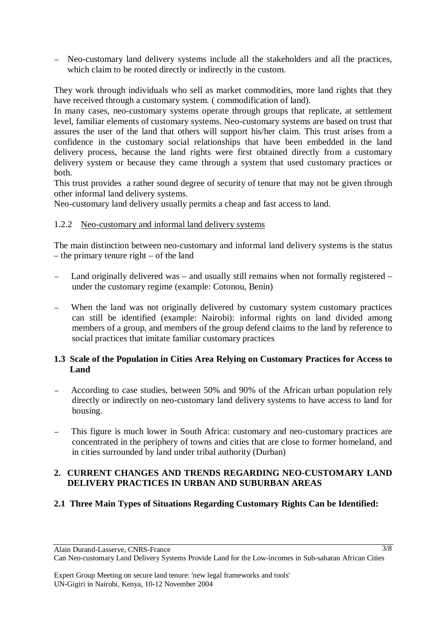Neo-customary land delivery systems include all the stakeholders and all the practices, which claim to be rooted directly or indirectly in the custom.

They work through individuals who sell as market commodities, more land rights that they have received through a customary system. ( commodification of land).

In many cases, neo-customary systems operate through groups that replicate, at settlement level, familiar elements of customary systems. Neo-customary systems are based on trust that assures the user of the land that others will support his/her claim. This trust arises from a confidence in the customary social relationships that have been embedded in the land delivery process, because the land rights were first obtained directly from a customary delivery system or because they came through a system that used customary practices or both.

This trust provides a rather sound degree of security of tenure that may not be given through other informal land delivery systems.

Neo-customary land delivery usually permits a cheap and fast access to land.

### 1.2.2 Neo-customary and informal land delivery systems

The main distinction between neo-customary and informal land delivery systems is the status – the primary tenure right – of the land

- <sup>−</sup> Land originally delivered was and usually still remains when not formally registered under the customary regime (example: Cotonou, Benin)
- <sup>−</sup> When the land was not originally delivered by customary system customary practices can still be identified (example: Nairobi): informal rights on land divided among members of a group, and members of the group defend claims to the land by reference to social practices that imitate familiar customary practices

# **1.3 Scale of the Population in Cities Area Relying on Customary Practices for Access to Land**

- <sup>−</sup> According to case studies, between 50% and 90% of the African urban population rely directly or indirectly on neo-customary land delivery systems to have access to land for housing.
- This figure is much lower in South Africa: customary and neo-customary practices are concentrated in the periphery of towns and cities that are close to former homeland, and in cities surrounded by land under tribal authority (Durban)

# **2. CURRENT CHANGES AND TRENDS REGARDING NEO-CUSTOMARY LAND DELIVERY PRACTICES IN URBAN AND SUBURBAN AREAS**

# **2.1 Three Main Types of Situations Regarding Customary Rights Can be Identified:**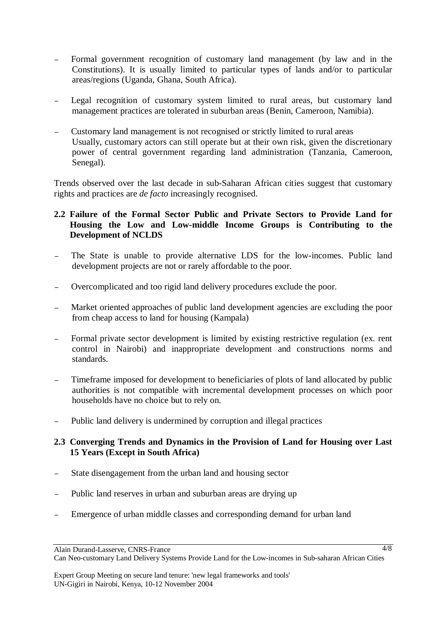- <sup>−</sup> Formal government recognition of customary land management (by law and in the Constitutions). It is usually limited to particular types of lands and/or to particular areas/regions (Uganda, Ghana, South Africa).
- Legal recognition of customary system limited to rural areas, but customary land management practices are tolerated in suburban areas (Benin, Cameroon, Namibia).
- <sup>−</sup> Customary land management is not recognised or strictly limited to rural areas Usually, customary actors can still operate but at their own risk, given the discretionary power of central government regarding land administration (Tanzania, Cameroon, Senegal).

Trends observed over the last decade in sub-Saharan African cities suggest that customary rights and practices are *de facto* increasingly recognised.

## **2.2 Failure of the Formal Sector Public and Private Sectors to Provide Land for Housing the Low and Low-middle Income Groups is Contributing to the Development of NCLDS**

- The State is unable to provide alternative LDS for the low-incomes. Public land development projects are not or rarely affordable to the poor.
- <sup>−</sup> Overcomplicated and too rigid land delivery procedures exclude the poor.
- <sup>−</sup> Market oriented approaches of public land development agencies are excluding the poor from cheap access to land for housing (Kampala)
- Formal private sector development is limited by existing restrictive regulation (ex. rent control in Nairobi) and inappropriate development and constructions norms and standards.
- <sup>−</sup> Timeframe imposed for development to beneficiaries of plots of land allocated by public authorities is not compatible with incremental development processes on which poor households have no choice but to rely on.
- Public land delivery is undermined by corruption and illegal practices

### **2.3 Converging Trends and Dynamics in the Provision of Land for Housing over Last 15 Years (Except in South Africa)**

- State disengagement from the urban land and housing sector
- Public land reserves in urban and suburban areas are drying up
- Emergence of urban middle classes and corresponding demand for urban land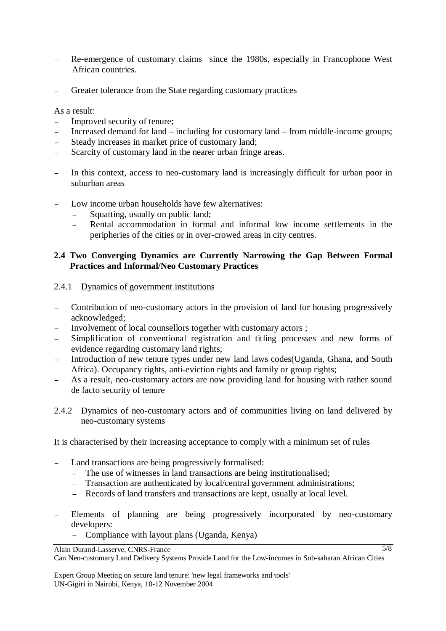- Re-emergence of customary claims since the 1980s, especially in Francophone West African countries.
- Greater tolerance from the State regarding customary practices

As a result:

- Improved security of tenure;
- <sup>−</sup> Increased demand for land including for customary land from middle-income groups;
- Steady increases in market price of customary land;
- <sup>−</sup> Scarcity of customary land in the nearer urban fringe areas.
- <sup>−</sup> In this context, access to neo-customary land is increasingly difficult for urban poor in suburban areas
- Low income urban households have few alternatives:
	- Squatting, usually on public land;
	- Rental accommodation in formal and informal low income settlements in the peripheries of the cities or in over-crowed areas in city centres.

## **2.4 Two Converging Dynamics are Currently Narrowing the Gap Between Formal Practices and Informal/Neo Customary Practices**

#### 2.4.1 Dynamics of government institutions

- <sup>−</sup> Contribution of neo-customary actors in the provision of land for housing progressively acknowledged;
- Involvement of local counsellors together with customary actors ;
- Simplification of conventional registration and titling processes and new forms of evidence regarding customary land rights;
- Introduction of new tenure types under new land laws codes(Uganda, Ghana, and South Africa). Occupancy rights, anti-eviction rights and family or group rights;
- As a result, neo-customary actors are now providing land for housing with rather sound de facto security of tenure

## 2.4.2 Dynamics of neo-customary actors and of communities living on land delivered by neo-customary systems

It is characterised by their increasing acceptance to comply with a minimum set of rules

- Land transactions are being progressively formalised:
	- <sup>−</sup> The use of witnesses in land transactions are being institutionalised;
	- <sup>−</sup> Transaction are authenticated by local/central government administrations;
	- <sup>−</sup> Records of land transfers and transactions are kept, usually at local level.
- Elements of planning are being progressively incorporated by neo-customary developers:
	- − Compliance with layout plans (Uganda, Kenya)

Alain Durand-Lasserve, CNRS-France

Can Neo-customary Land Delivery Systems Provide Land for the Low-incomes in Sub-saharan African Cities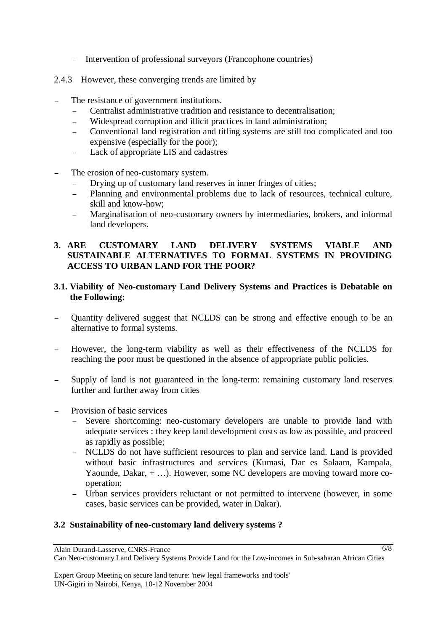<sup>−</sup> Intervention of professional surveyors (Francophone countries)

#### 2.4.3 However, these converging trends are limited by

- The resistance of government institutions.
	- <sup>−</sup> Centralist administrative tradition and resistance to decentralisation;
	- Widespread corruption and illicit practices in land administration;
	- <sup>−</sup> Conventional land registration and titling systems are still too complicated and too expensive (especially for the poor);
	- <sup>−</sup> Lack of appropriate LIS and cadastres
- The erosion of neo-customary system.
	- Drying up of customary land reserves in inner fringes of cities;
	- Planning and environmental problems due to lack of resources, technical culture, skill and know-how;
	- Marginalisation of neo-customary owners by intermediaries, brokers, and informal land developers.

## **3. ARE CUSTOMARY LAND DELIVERY SYSTEMS VIABLE AND SUSTAINABLE ALTERNATIVES TO FORMAL SYSTEMS IN PROVIDING ACCESS TO URBAN LAND FOR THE POOR?**

## **3.1. Viability of Neo-customary Land Delivery Systems and Practices is Debatable on the Following:**

- Quantity delivered suggest that NCLDS can be strong and effective enough to be an alternative to formal systems.
- <sup>−</sup> However, the long-term viability as well as their effectiveness of the NCLDS for reaching the poor must be questioned in the absence of appropriate public policies.
- Supply of land is not guaranteed in the long-term: remaining customary land reserves further and further away from cities
- Provision of basic services
	- <sup>−</sup> Severe shortcoming: neo-customary developers are unable to provide land with adequate services : they keep land development costs as low as possible, and proceed as rapidly as possible;
	- <sup>−</sup> NCLDS do not have sufficient resources to plan and service land. Land is provided without basic infrastructures and services (Kumasi, Dar es Salaam, Kampala, Yaounde, Dakar, + …). However, some NC developers are moving toward more cooperation;
	- Urban services providers reluctant or not permitted to intervene (however, in some cases, basic services can be provided, water in Dakar).

#### **3.2 Sustainability of neo-customary land delivery systems ?**

Alain Durand-Lasserve, CNRS-France

Can Neo-customary Land Delivery Systems Provide Land for the Low-incomes in Sub-saharan African Cities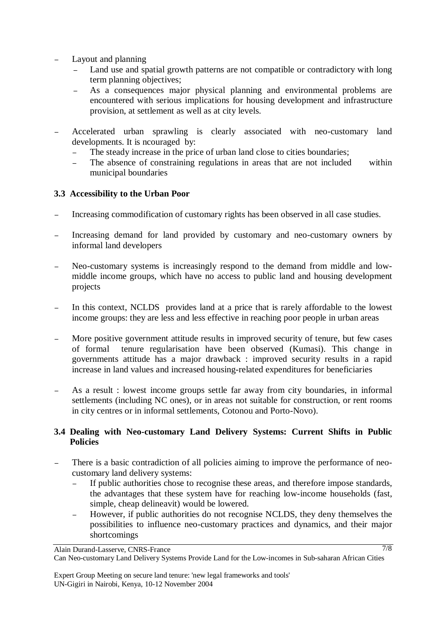- Layout and planning
	- Land use and spatial growth patterns are not compatible or contradictory with long term planning objectives;
	- As a consequences major physical planning and environmental problems are encountered with serious implications for housing development and infrastructure provision, at settlement as well as at city levels.
- <sup>−</sup> Accelerated urban sprawling is clearly associated with neo-customary land developments. It is ncouraged by:
	- <sup>−</sup> The steady increase in the price of urban land close to cities boundaries;
	- The absence of constraining regulations in areas that are not included within municipal boundaries

# **3.3 Accessibility to the Urban Poor**

- Increasing commodification of customary rights has been observed in all case studies.
- Increasing demand for land provided by customary and neo-customary owners by informal land developers
- <sup>−</sup> Neo-customary systems is increasingly respond to the demand from middle and lowmiddle income groups, which have no access to public land and housing development projects
- <sup>−</sup> In this context, NCLDS provides land at a price that is rarely affordable to the lowest income groups: they are less and less effective in reaching poor people in urban areas
- More positive government attitude results in improved security of tenure, but few cases of formal tenure regularisation have been observed (Kumasi). This change in governments attitude has a major drawback : improved security results in a rapid increase in land values and increased housing-related expenditures for beneficiaries
- As a result : lowest income groups settle far away from city boundaries, in informal settlements (including NC ones), or in areas not suitable for construction, or rent rooms in city centres or in informal settlements, Cotonou and Porto-Novo).

# **3.4 Dealing with Neo-customary Land Delivery Systems: Current Shifts in Public Policies**

- There is a basic contradiction of all policies aiming to improve the performance of neocustomary land delivery systems:
	- If public authorities chose to recognise these areas, and therefore impose standards, the advantages that these system have for reaching low-income households (fast, simple, cheap delineavit) would be lowered.
	- However, if public authorities do not recognise NCLDS, they deny themselves the possibilities to influence neo-customary practices and dynamics, and their major shortcomings

Alain Durand-Lasserve, CNRS-France

Can Neo-customary Land Delivery Systems Provide Land for the Low-incomes in Sub-saharan African Cities